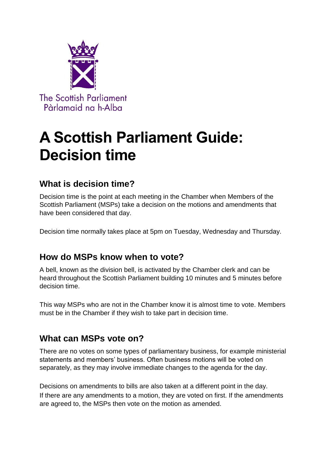

# **A Scottish Parliament Guide: Decision time**

## **What is decision time?**

Decision time is the point at each meeting in the Chamber when Members of the Scottish Parliament (MSPs) take a decision on the motions and amendments that have been considered that day.

Decision time normally takes place at 5pm on Tuesday, Wednesday and Thursday.

### **How do MSPs know when to vote?**

A bell, known as the division bell, is activated by the Chamber clerk and can be heard throughout the Scottish Parliament building 10 minutes and 5 minutes before decision time.

This way MSPs who are not in the Chamber know it is almost time to vote. Members must be in the Chamber if they wish to take part in decision time.

### **What can MSPs vote on?**

There are no votes on some types of parliamentary business, for example ministerial statements and members' business. Often business motions will be voted on separately, as they may involve immediate changes to the agenda for the day.

Decisions on amendments to bills are also taken at a different point in the day. If there are any amendments to a motion, they are voted on first. If the amendments are agreed to, the MSPs then vote on the motion as amended.